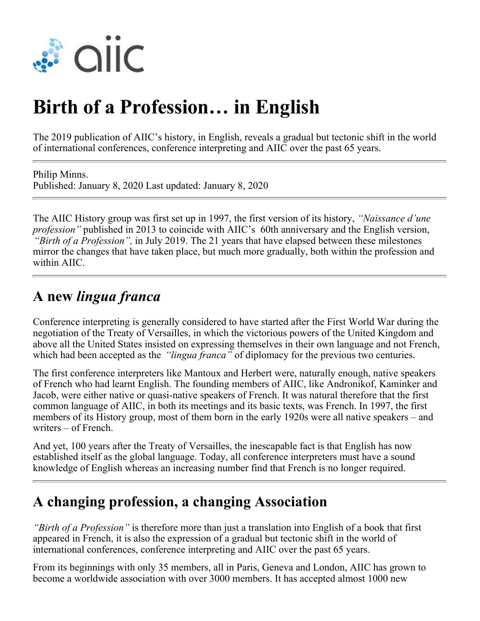

# **Birth of a Profession… in English**

The 2019 publication of AIIC's history, in English, reveals a gradual but tectonic shift in the world of international conferences, conference interpreting and AIIC over the past 65 years.

Philip Minns. Published: January 8, 2020 Last updated: January 8, 2020

The AIIC History group was first set up in 1997, the first version of its history, *"Naissance d'une profession"* published in 2013 to coincide with AIIC's 60th anniversary and the English version, *"Birth of a Profession",* in July 2019. The 21 years that have elapsed between these milestones mirror the changes that have taken place, but much more gradually, both within the profession and within AIIC.

#### **A new** *lingua franca*

Conference interpreting is generally considered to have started after the First World War during the negotiation of the Treaty of Versailles, in which the victorious powers of the United Kingdom and above all the United States insisted on expressing themselves in their own language and not French, which had been accepted as the *"lingua franca"* of diplomacy for the previous two centuries.

The first conference interpreters like Mantoux and Herbert were, naturally enough, native speakers of French who had learnt English. The founding members of AIIC, like Andronikof, Kaminker and Jacob, were either native or quasi-native speakers of French. It was natural therefore that the first common language of AIIC, in both its meetings and its basic texts, was French. In 1997, the first members of its History group, most of them born in the early 1920s were all native speakers – and writers – of French.

And yet, 100 years after the Treaty of Versailles, the inescapable fact is that English has now established itself as the global language. Today, all conference interpreters must have a sound knowledge of English whereas an increasing number find that French is no longer required.

#### **A changing profession, a changing Association**

*"Birth of a Profession"* is therefore more than just a translation into English of a book that first appeared in French, it is also the expression of a gradual but tectonic shift in the world of international conferences, conference interpreting and AIIC over the past 65 years.

From its beginnings with only 35 members, all in Paris, Geneva and London, AIIC has grown to become a worldwide association with over 3000 members. It has accepted almost 1000 new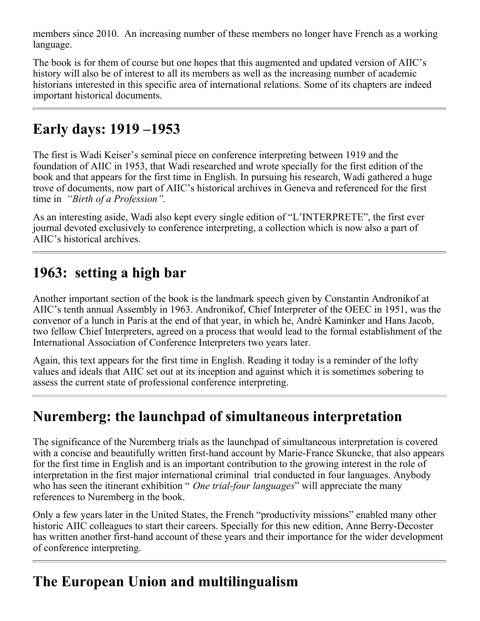members since 2010. An increasing number of these members no longer have French as a working language.

The book is for them of course but one hopes that this augmented and updated version of AIIC's history will also be of interest to all its members as well as the increasing number of academic historians interested in this specific area of international relations. Some of its chapters are indeed important historical documents.

# **Early days: 1919 –1953**

The first is Wadi Keiser's seminal piece on conference interpreting between 1919 and the foundation of AIIC in 1953, that Wadi researched and wrote specially for the first edition of the book and that appears for the first time in English. In pursuing his research, Wadi gathered a huge trove of documents, now part of AIIC's historical archives in Geneva and referenced for the first time in *"Birth of a Profession".*

As an interesting aside, Wadi also kept every single edition of "L'INTERPRETE", the first ever journal devoted exclusively to conference interpreting, a collection which is now also a part of AIIC's historical archives.

#### **1963: setting a high bar**

Another important section of the book is the landmark speech given by Constantin Andronikof at AIIC's tenth annual Assembly in 1963. Andronikof, Chief Interpreter of the OEEC in 1951, was the convenor of a lunch in Paris at the end of that year, in which he, André Kaminker and Hans Jacob, two fellow Chief Interpreters, agreed on a process that would lead to the formal establishment of the International Association of Conference Interpreters two years later.

Again, this text appears for the first time in English. Reading it today is a reminder of the lofty values and ideals that AIIC set out at its inception and against which it is sometimes sobering to assess the current state of professional conference interpreting.

# **Nuremberg: the launchpad of simultaneous interpretation**

The significance of the Nuremberg trials as the launchpad of simultaneous interpretation is covered with a concise and beautifully written first-hand account by Marie-France Skuncke, that also appears for the first time in English and is an important contribution to the growing interest in the role of interpretation in the first major international criminal trial conducted in four languages. Anybody who has seen the itinerant exhibition " *One trial-four languages*" will appreciate the many references to Nuremberg in the book.

Only a few years later in the United States, the French "productivity missions" enabled many other historic AIIC colleagues to start their careers. Specially for this new edition, Anne Berry-Decoster has written another first-hand account of these years and their importance for the wider development of conference interpreting.

# **The European Union and multilingualism**